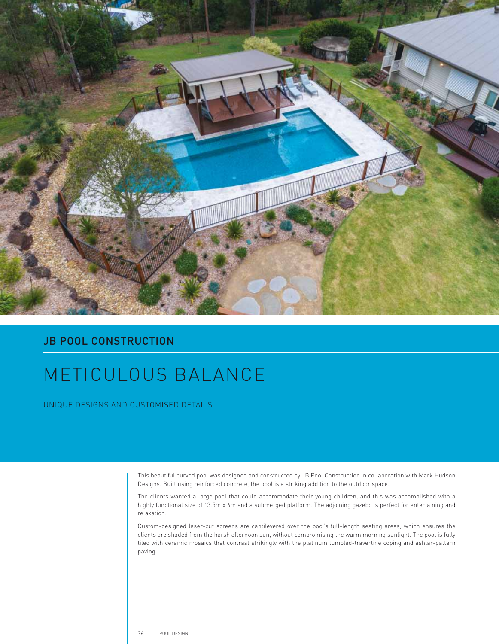

## **JB POOL CONSTRUCTION**

## METICULOUS BALANCE

UNIQUE DESIGNS AND CUSTOMISED DETAILS

This beautiful curved pool was designed and constructed by JB Pool Construction in collaboration with Mark Hudson Designs. Built using reinforced concrete, the pool is a striking addition to the outdoor space.

The clients wanted a large pool that could accommodate their young children, and this was accomplished with a highly functional size of 13.5m x 6m and a submerged platform. The adjoining gazebo is perfect for entertaining and relaxation.

Custom-designed laser-cut screens are cantilevered over the pool's full-length seating areas, which ensures the clients are shaded from the harsh afternoon sun, without compromising the warm morning sunlight. The pool is fully tiled with ceramic mosaics that contrast strikingly with the platinum tumbled-travertine coping and ashlar-pattern paving.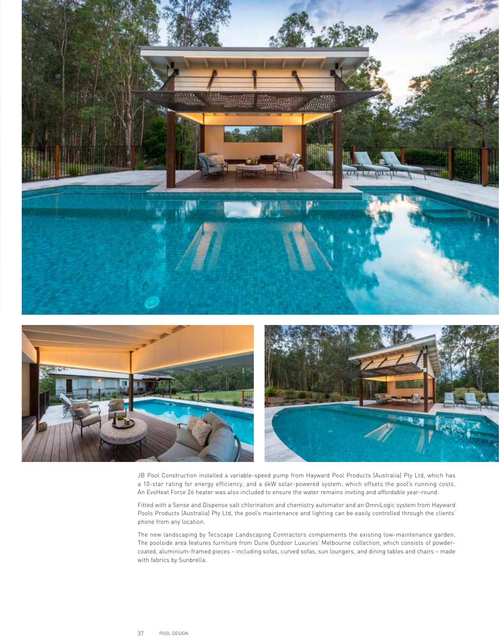

JB Pool Construction installed a variable-speed pump from Hayward Pool Products (Australia) Pty Ltd, which has a 10-star rating for energy efficiency, and a 6kW solar-powered system, which offsets the pool's running costs. An EvoHeat Force 26 heater was also included to ensure the water remains inviting and affordable year-round.

Fitted with a Sense and Dispense salt chlorination and chemistry automator and an OmniLogic system from Hayward Pools Products (Australia) Pty Ltd, the pool's maintenance and lighting can be easily controlled through the clients' phone from any location.

The new landscaping by Tecscape Landscaping Contractors complements the existing low-maintenance garden. The poolside area features furniture from Dune Outdoor Luxuries' Melbourne collection, which consists of powdercoated, aluminium-framed pieces – including sofas, curved sofas, sun loungers, and dining tables and chairs – made with fabrics by Sunbrella.